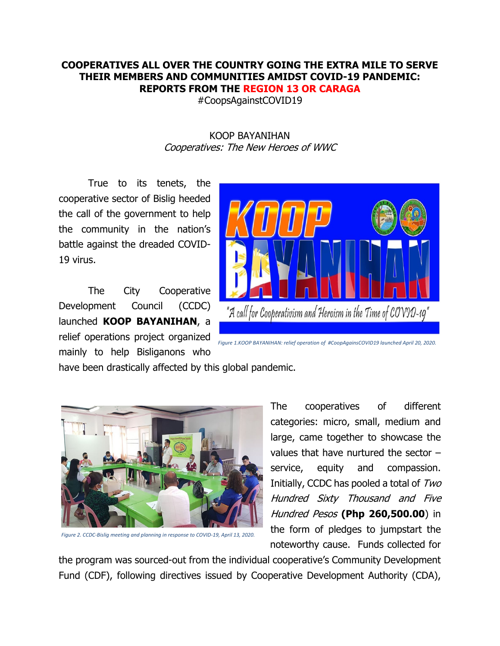## **COOPERATIVES ALL OVER THE COUNTRY GOING THE EXTRA MILE TO SERVE THEIR MEMBERS AND COMMUNITIES AMIDST COVID-19 PANDEMIC: REPORTS FROM THE REGION 13 OR CARAGA**

#CoopsAgainstCOVID19

## KOOP BAYANIHAN Cooperatives: The New Heroes of WWC

True to its tenets, the cooperative sector of Bislig heeded the call of the government to help the community in the nation's battle against the dreaded COVID-19 virus.

The City Cooperative Development Council (CCDC) launched **KOOP BAYANIHAN**, a relief operations project organized mainly to help Bisliganons who



*Figure 1.KOOP BAYANIHAN: relief operation of #CoopAgainsCOVID19 launched April 20, 2020.*

have been drastically affected by this global pandemic.



*Figure 2. CCDC-Bislig meeting and planning in response to COVID-19, April 13, 2020.*

The cooperatives of different categories: micro, small, medium and large, came together to showcase the values that have nurtured the sector – service, equity and compassion. Initially, CCDC has pooled a total of Two Hundred Sixty Thousand and Five Hundred Pesos **(Php 260,500.00**) in the form of pledges to jumpstart the noteworthy cause. Funds collected for

the program was sourced-out from the individual cooperative's Community Development Fund (CDF), following directives issued by Cooperative Development Authority (CDA),